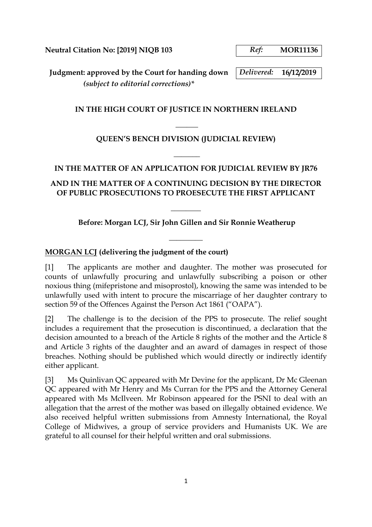**Neutral Citation No: [2019] NIQB 103** *Ref:* **MOR11136**

**Judgment: approved by the Court for handing down** *Delivered:* **16/12/2019** *(subject to editorial corrections)\**

## **IN THE HIGH COURT OF JUSTICE IN NORTHERN IRELAND**

# **QUEEN'S BENCH DIVISION (JUDICIAL REVIEW)**

**\_\_\_\_\_\_**

## **IN THE MATTER OF AN APPLICATION FOR JUDICIAL REVIEW BY JR76**

**\_\_\_\_\_\_\_** 

## **AND IN THE MATTER OF A CONTINUING DECISION BY THE DIRECTOR OF PUBLIC PROSECUTIONS TO PROESECUTE THE FIRST APPLICANT**

## **Before: Morgan LCJ, Sir John Gillen and Sir Ronnie Weatherup**

**\_\_\_\_\_\_\_\_\_**

**\_\_\_\_\_\_\_\_** 

## **MORGAN LCJ (delivering the judgment of the court)**

[1] The applicants are mother and daughter. The mother was prosecuted for counts of unlawfully procuring and unlawfully subscribing a poison or other noxious thing (mifepristone and misoprostol), knowing the same was intended to be unlawfully used with intent to procure the miscarriage of her daughter contrary to section 59 of the Offences Against the Person Act 1861 ("OAPA").

[2] The challenge is to the decision of the PPS to prosecute. The relief sought includes a requirement that the prosecution is discontinued, a declaration that the decision amounted to a breach of the Article 8 rights of the mother and the Article 8 and Article 3 rights of the daughter and an award of damages in respect of those breaches. Nothing should be published which would directly or indirectly identify either applicant.

[3] Ms Quinlivan QC appeared with Mr Devine for the applicant, Dr Mc Gleenan QC appeared with Mr Henry and Ms Curran for the PPS and the Attorney General appeared with Ms McIlveen. Mr Robinson appeared for the PSNI to deal with an allegation that the arrest of the mother was based on illegally obtained evidence. We also received helpful written submissions from Amnesty International, the Royal College of Midwives, a group of service providers and Humanists UK. We are grateful to all counsel for their helpful written and oral submissions.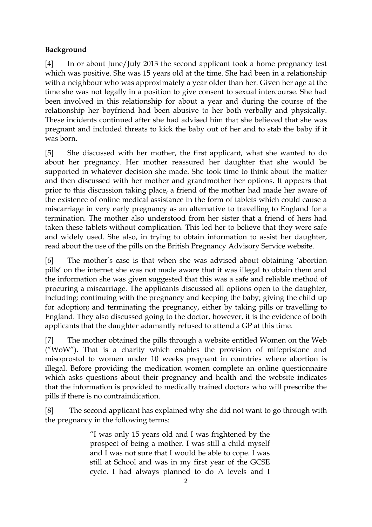## **Background**

[4] In or about June/July 2013 the second applicant took a home pregnancy test which was positive. She was 15 years old at the time. She had been in a relationship with a neighbour who was approximately a year older than her. Given her age at the time she was not legally in a position to give consent to sexual intercourse. She had been involved in this relationship for about a year and during the course of the relationship her boyfriend had been abusive to her both verbally and physically. These incidents continued after she had advised him that she believed that she was pregnant and included threats to kick the baby out of her and to stab the baby if it was born.

[5] She discussed with her mother, the first applicant, what she wanted to do about her pregnancy. Her mother reassured her daughter that she would be supported in whatever decision she made. She took time to think about the matter and then discussed with her mother and grandmother her options. It appears that prior to this discussion taking place, a friend of the mother had made her aware of the existence of online medical assistance in the form of tablets which could cause a miscarriage in very early pregnancy as an alternative to travelling to England for a termination. The mother also understood from her sister that a friend of hers had taken these tablets without complication. This led her to believe that they were safe and widely used. She also, in trying to obtain information to assist her daughter, read about the use of the pills on the British Pregnancy Advisory Service website.

[6] The mother's case is that when she was advised about obtaining 'abortion pills' on the internet she was not made aware that it was illegal to obtain them and the information she was given suggested that this was a safe and reliable method of procuring a miscarriage. The applicants discussed all options open to the daughter, including: continuing with the pregnancy and keeping the baby; giving the child up for adoption; and terminating the pregnancy, either by taking pills or travelling to England. They also discussed going to the doctor, however, it is the evidence of both applicants that the daughter adamantly refused to attend a GP at this time.

[7] The mother obtained the pills through a website entitled Women on the Web ("WoW"). That is a charity which enables the provision of mifepristone and misoprostol to women under 10 weeks pregnant in countries where abortion is illegal. Before providing the medication women complete an online questionnaire which asks questions about their pregnancy and health and the website indicates that the information is provided to medically trained doctors who will prescribe the pills if there is no contraindication.

[8] The second applicant has explained why she did not want to go through with the pregnancy in the following terms:

> "I was only 15 years old and I was frightened by the prospect of being a mother. I was still a child myself and I was not sure that I would be able to cope. I was still at School and was in my first year of the GCSE cycle. I had always planned to do A levels and I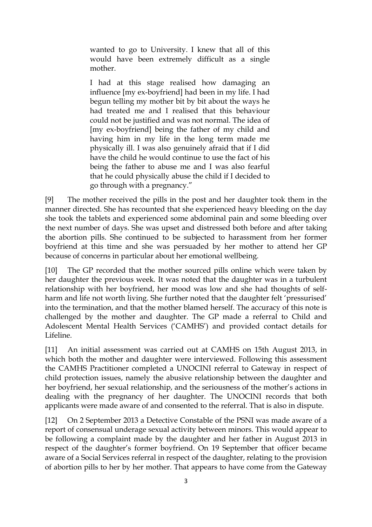wanted to go to University. I knew that all of this would have been extremely difficult as a single mother.

I had at this stage realised how damaging an influence [my ex-boyfriend] had been in my life. I had begun telling my mother bit by bit about the ways he had treated me and I realised that this behaviour could not be justified and was not normal. The idea of [my ex-boyfriend] being the father of my child and having him in my life in the long term made me physically ill. I was also genuinely afraid that if I did have the child he would continue to use the fact of his being the father to abuse me and I was also fearful that he could physically abuse the child if I decided to go through with a pregnancy."

[9] The mother received the pills in the post and her daughter took them in the manner directed. She has recounted that she experienced heavy bleeding on the day she took the tablets and experienced some abdominal pain and some bleeding over the next number of days. She was upset and distressed both before and after taking the abortion pills. She continued to be subjected to harassment from her former boyfriend at this time and she was persuaded by her mother to attend her GP because of concerns in particular about her emotional wellbeing.

[10] The GP recorded that the mother sourced pills online which were taken by her daughter the previous week. It was noted that the daughter was in a turbulent relationship with her boyfriend, her mood was low and she had thoughts of selfharm and life not worth living. She further noted that the daughter felt 'pressurised' into the termination, and that the mother blamed herself. The accuracy of this note is challenged by the mother and daughter. The GP made a referral to Child and Adolescent Mental Health Services ('CAMHS') and provided contact details for Lifeline.

[11] An initial assessment was carried out at CAMHS on 15th August 2013, in which both the mother and daughter were interviewed. Following this assessment the CAMHS Practitioner completed a UNOCINI referral to Gateway in respect of child protection issues, namely the abusive relationship between the daughter and her boyfriend, her sexual relationship, and the seriousness of the mother's actions in dealing with the pregnancy of her daughter. The UNOCINI records that both applicants were made aware of and consented to the referral. That is also in dispute.

[12] On 2 September 2013 a Detective Constable of the PSNI was made aware of a report of consensual underage sexual activity between minors. This would appear to be following a complaint made by the daughter and her father in August 2013 in respect of the daughter's former boyfriend. On 19 September that officer became aware of a Social Services referral in respect of the daughter, relating to the provision of abortion pills to her by her mother. That appears to have come from the Gateway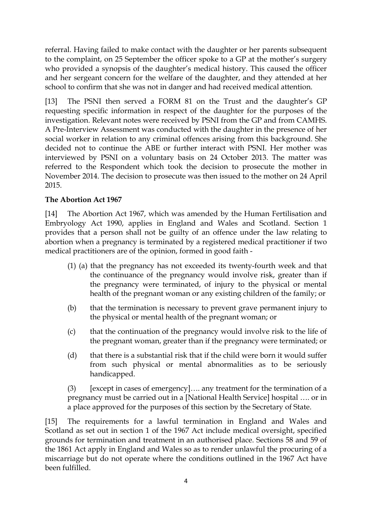referral. Having failed to make contact with the daughter or her parents subsequent to the complaint, on 25 September the officer spoke to a GP at the mother's surgery who provided a synopsis of the daughter's medical history. This caused the officer and her sergeant concern for the welfare of the daughter, and they attended at her school to confirm that she was not in danger and had received medical attention.

[13] The PSNI then served a FORM 81 on the Trust and the daughter's GP requesting specific information in respect of the daughter for the purposes of the investigation. Relevant notes were received by PSNI from the GP and from CAMHS. A Pre-Interview Assessment was conducted with the daughter in the presence of her social worker in relation to any criminal offences arising from this background. She decided not to continue the ABE or further interact with PSNI. Her mother was interviewed by PSNI on a voluntary basis on 24 October 2013. The matter was referred to the Respondent which took the decision to prosecute the mother in November 2014. The decision to prosecute was then issued to the mother on 24 April 2015.

### **The Abortion Act 1967**

[14] The Abortion Act 1967, which was amended by the Human Fertilisation and Embryology Act 1990, applies in England and Wales and Scotland. Section 1 provides that a person shall not be guilty of an offence under the law relating to abortion when a pregnancy is terminated by a registered medical practitioner if two medical practitioners are of the opinion, formed in good faith -

- (1) (a) that the pregnancy has not exceeded its twenty-fourth week and that the continuance of the pregnancy would involve risk, greater than if the pregnancy were terminated, of injury to the physical or mental health of the pregnant woman or any existing children of the family; or
- (b) that the termination is necessary to prevent grave permanent injury to the physical or mental health of the pregnant woman; or
- (c) that the continuation of the pregnancy would involve risk to the life of the pregnant woman, greater than if the pregnancy were terminated; or
- (d) that there is a substantial risk that if the child were born it would suffer from such physical or mental abnormalities as to be seriously handicapped.

(3) [except in cases of emergency]…. any treatment for the termination of a pregnancy must be carried out in a [National Health Service] hospital …. or in a place approved for the purposes of this section by the Secretary of State.

[15] The requirements for a lawful termination in England and Wales and Scotland as set out in section 1 of the 1967 Act include medical oversight, specified grounds for termination and treatment in an authorised place. Sections 58 and 59 of the 1861 Act apply in England and Wales so as to render unlawful the procuring of a miscarriage but do not operate where the conditions outlined in the 1967 Act have been fulfilled.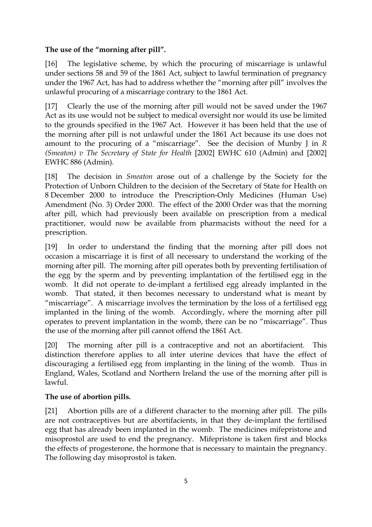### **The use of the "morning after pill".**

[16] The legislative scheme, by which the procuring of miscarriage is unlawful under sections 58 and 59 of the 1861 Act, subject to lawful termination of pregnancy under the 1967 Act, has had to address whether the "morning after pill" involves the unlawful procuring of a miscarriage contrary to the 1861 Act.

[17] Clearly the use of the morning after pill would not be saved under the 1967 Act as its use would not be subject to medical oversight nor would its use be limited to the grounds specified in the 1967 Act. However it has been held that the use of the morning after pill is not unlawful under the 1861 Act because its use does not amount to the procuring of a "miscarriage". See the decision of Munby J in *R (Smeaton) v The Secretary of State for Health* [2002] EWHC 610 (Admin) and [2002] EWHC 886 (Admin).

[18] The decision in *Smeaton* arose out of a challenge by the Society for the Protection of Unborn Children to the decision of the Secretary of State for Health on 8 December 2000 to introduce the Prescription-Only Medicines (Human Use) Amendment (No. 3) Order 2000. The effect of the 2000 Order was that the morning after pill, which had previously been available on prescription from a medical practitioner, would now be available from pharmacists without the need for a prescription.

[19] In order to understand the finding that the morning after pill does not occasion a miscarriage it is first of all necessary to understand the working of the morning after pill. The morning after pill operates both by preventing fertilisation of the egg by the sperm and by preventing implantation of the fertilised egg in the womb. It did not operate to de-implant a fertilised egg already implanted in the womb. That stated, it then becomes necessary to understand what is meant by "miscarriage". A miscarriage involves the termination by the loss of a fertilised egg implanted in the lining of the womb. Accordingly, where the morning after pill operates to prevent implantation in the womb, there can be no "miscarriage". Thus the use of the morning after pill cannot offend the 1861 Act.

[20] The morning after pill is a contraceptive and not an abortifacient. This distinction therefore applies to all inter uterine devices that have the effect of discouraging a fertilised egg from implanting in the lining of the womb. Thus in England, Wales, Scotland and Northern Ireland the use of the morning after pill is lawful.

### **The use of abortion pills.**

[21] Abortion pills are of a different character to the morning after pill. The pills are not contraceptives but are abortifacients, in that they de-implant the fertilised egg that has already been implanted in the womb. The medicines mifepristone and misoprostol are used to end the pregnancy. Mifepristone is taken first and blocks the effects of progesterone, the hormone that is necessary to maintain the pregnancy. The following day misoprostol is taken.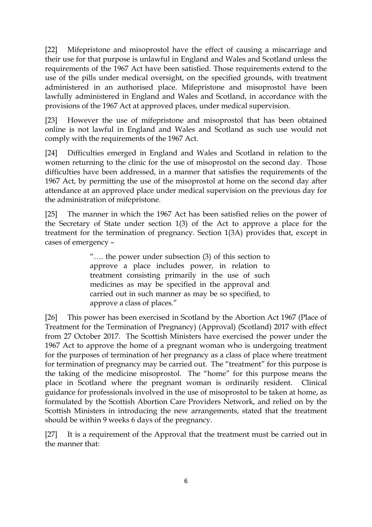[22] Mifepristone and misoprostol have the effect of causing a miscarriage and their use for that purpose is unlawful in England and Wales and Scotland unless the requirements of the 1967 Act have been satisfied. Those requirements extend to the use of the pills under medical oversight, on the specified grounds, with treatment administered in an authorised place. Mifepristone and misoprostol have been lawfully administered in England and Wales and Scotland, in accordance with the provisions of the 1967 Act at approved places, under medical supervision.

[23] However the use of mifepristone and misoprostol that has been obtained online is not lawful in England and Wales and Scotland as such use would not comply with the requirements of the 1967 Act.

[24] Difficulties emerged in England and Wales and Scotland in relation to the women returning to the clinic for the use of misoprostol on the second day. Those difficulties have been addressed, in a manner that satisfies the requirements of the 1967 Act, by permitting the use of the misoprostol at home on the second day after attendance at an approved place under medical supervision on the previous day for the administration of mifepristone.

[25] The manner in which the 1967 Act has been satisfied relies on the power of the Secretary of State under section 1(3) of the Act to approve a place for the treatment for the termination of pregnancy. Section 1(3A) provides that, except in cases of emergency –

> "…. the power under subsection (3) of this section to approve a place includes power, in relation to treatment consisting primarily in the use of such medicines as may be specified in the approval and carried out in such manner as may be so specified, to approve a class of places."

[26] This power has been exercised in Scotland by the Abortion Act 1967 (Place of Treatment for the Termination of Pregnancy) (Approval) (Scotland) 2017 with effect from 27 October 2017. The Scottish Ministers have exercised the power under the 1967 Act to approve the home of a pregnant woman who is undergoing treatment for the purposes of termination of her pregnancy as a class of place where treatment for termination of pregnancy may be carried out. The "treatment" for this purpose is the taking of the medicine misoprostol. The "home" for this purpose means the place in Scotland where the pregnant woman is ordinarily resident. Clinical guidance for professionals involved in the use of misoprostol to be taken at home, as formulated by the Scottish Abortion Care Providers Network, and relied on by the Scottish Ministers in introducing the new arrangements, stated that the treatment should be within 9 weeks 6 days of the pregnancy.

[27] It is a requirement of the Approval that the treatment must be carried out in the manner that: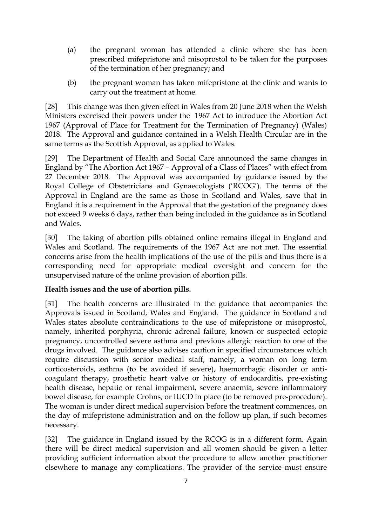- (a) the pregnant woman has attended a clinic where she has been prescribed mifepristone and misoprostol to be taken for the purposes of the termination of her pregnancy; and
- (b) the pregnant woman has taken mifepristone at the clinic and wants to carry out the treatment at home.

[28] This change was then given effect in Wales from 20 June 2018 when the Welsh Ministers exercised their powers under the 1967 Act to introduce the Abortion Act 1967 (Approval of Place for Treatment for the Termination of Pregnancy) (Wales) 2018. The Approval and guidance contained in a Welsh Health Circular are in the same terms as the Scottish Approval, as applied to Wales.

[29] The Department of Health and Social Care announced the same changes in England by "The Abortion Act 1967 – Approval of a Class of Places" with effect from 27 December 2018. The Approval was accompanied by guidance issued by the Royal College of Obstetricians and Gynaecologists ('RCOG'). The terms of the Approval in England are the same as those in Scotland and Wales, save that in England it is a requirement in the Approval that the gestation of the pregnancy does not exceed 9 weeks 6 days, rather than being included in the guidance as in Scotland and Wales.

[30] The taking of abortion pills obtained online remains illegal in England and Wales and Scotland. The requirements of the 1967 Act are not met. The essential concerns arise from the health implications of the use of the pills and thus there is a corresponding need for appropriate medical oversight and concern for the unsupervised nature of the online provision of abortion pills.

## **Health issues and the use of abortion pills.**

[31] The health concerns are illustrated in the guidance that accompanies the Approvals issued in Scotland, Wales and England. The guidance in Scotland and Wales states absolute contraindications to the use of mifepristone or misoprostol, namely, inherited porphyria, chronic adrenal failure, known or suspected ectopic pregnancy, uncontrolled severe asthma and previous allergic reaction to one of the drugs involved. The guidance also advises caution in specified circumstances which require discussion with senior medical staff, namely, a woman on long term corticosteroids, asthma (to be avoided if severe), haemorrhagic disorder or anticoagulant therapy, prosthetic heart valve or history of endocarditis, pre-existing health disease, hepatic or renal impairment, severe anaemia, severe inflammatory bowel disease, for example Crohns, or IUCD in place (to be removed pre-procedure). The woman is under direct medical supervision before the treatment commences, on the day of mifepristone administration and on the follow up plan, if such becomes necessary.

[32] The guidance in England issued by the RCOG is in a different form. Again there will be direct medical supervision and all women should be given a letter providing sufficient information about the procedure to allow another practitioner elsewhere to manage any complications. The provider of the service must ensure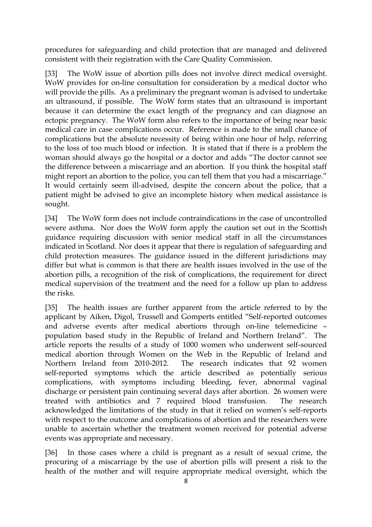procedures for safeguarding and child protection that are managed and delivered consistent with their registration with the Care Quality Commission.

[33] The WoW issue of abortion pills does not involve direct medical oversight. WoW provides for on-line consultation for consideration by a medical doctor who will provide the pills. As a preliminary the pregnant woman is advised to undertake an ultrasound, if possible. The WoW form states that an ultrasound is important because it can determine the exact length of the pregnancy and can diagnose an ectopic pregnancy. The WoW form also refers to the importance of being near basic medical care in case complications occur. Reference is made to the small chance of complications but the absolute necessity of being within one hour of help, referring to the loss of too much blood or infection. It is stated that if there is a problem the woman should always go the hospital or a doctor and adds "The doctor cannot see the difference between a miscarriage and an abortion. If you think the hospital staff might report an abortion to the police, you can tell them that you had a miscarriage." It would certainly seem ill-advised, despite the concern about the police, that a patient might be advised to give an incomplete history when medical assistance is sought.

[34] The WoW form does not include contraindications in the case of uncontrolled severe asthma. Nor does the WoW form apply the caution set out in the Scottish guidance requiring discussion with senior medical staff in all the circumstances indicated in Scotland. Nor does it appear that there is regulation of safeguarding and child protection measures. The guidance issued in the different jurisdictions may differ but what is common is that there are health issues involved in the use of the abortion pills, a recognition of the risk of complications, the requirement for direct medical supervision of the treatment and the need for a follow up plan to address the risks.

[35] The health issues are further apparent from the article referred to by the applicant by Aiken, Digol, Trussell and Gomperts entitled "Self-reported outcomes and adverse events after medical abortions through on-line telemedicine – population based study in the Republic of Ireland and Northern Ireland". The article reports the results of a study of 1000 women who underwent self-sourced medical abortion through Women on the Web in the Republic of Ireland and Northern Ireland from 2010-2012. The research indicates that 92 women self-reported symptoms which the article described as potentially serious complications, with symptoms including bleeding, fever, abnormal vaginal discharge or persistent pain continuing several days after abortion. 26 women were treated with antibiotics and 7 required blood transfusion. The research acknowledged the limitations of the study in that it relied on women's self-reports with respect to the outcome and complications of abortion and the researchers were unable to ascertain whether the treatment women received for potential adverse events was appropriate and necessary.

[36] In those cases where a child is pregnant as a result of sexual crime, the procuring of a miscarriage by the use of abortion pills will present a risk to the health of the mother and will require appropriate medical oversight, which the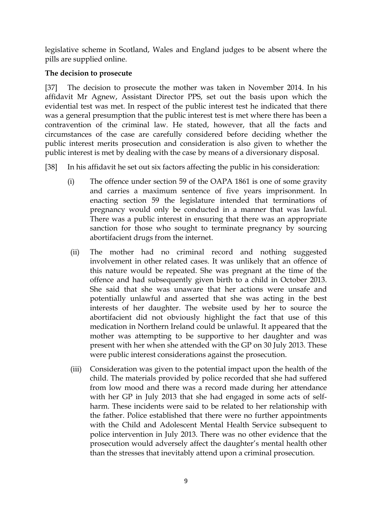legislative scheme in Scotland, Wales and England judges to be absent where the pills are supplied online.

### **The decision to prosecute**

[37] The decision to prosecute the mother was taken in November 2014. In his affidavit Mr Agnew, Assistant Director PPS, set out the basis upon which the evidential test was met. In respect of the public interest test he indicated that there was a general presumption that the public interest test is met where there has been a contravention of the criminal law. He stated, however, that all the facts and circumstances of the case are carefully considered before deciding whether the public interest merits prosecution and consideration is also given to whether the public interest is met by dealing with the case by means of a diversionary disposal.

[38] In his affidavit he set out six factors affecting the public in his consideration:

- (i) The offence under section 59 of the OAPA 1861 is one of some gravity and carries a maximum sentence of five years imprisonment. In enacting section 59 the legislature intended that terminations of pregnancy would only be conducted in a manner that was lawful. There was a public interest in ensuring that there was an appropriate sanction for those who sought to terminate pregnancy by sourcing abortifacient drugs from the internet.
- (ii) The mother had no criminal record and nothing suggested involvement in other related cases. It was unlikely that an offence of this nature would be repeated. She was pregnant at the time of the offence and had subsequently given birth to a child in October 2013. She said that she was unaware that her actions were unsafe and potentially unlawful and asserted that she was acting in the best interests of her daughter. The website used by her to source the abortifacient did not obviously highlight the fact that use of this medication in Northern Ireland could be unlawful. It appeared that the mother was attempting to be supportive to her daughter and was present with her when she attended with the GP on 30 July 2013. These were public interest considerations against the prosecution.
- (iii) Consideration was given to the potential impact upon the health of the child. The materials provided by police recorded that she had suffered from low mood and there was a record made during her attendance with her GP in July 2013 that she had engaged in some acts of selfharm. These incidents were said to be related to her relationship with the father. Police established that there were no further appointments with the Child and Adolescent Mental Health Service subsequent to police intervention in July 2013. There was no other evidence that the prosecution would adversely affect the daughter's mental health other than the stresses that inevitably attend upon a criminal prosecution.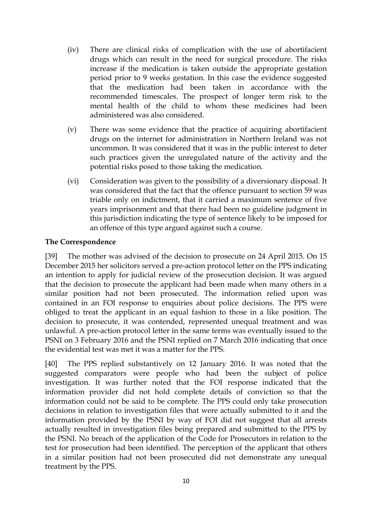- (iv) There are clinical risks of complication with the use of abortifacient drugs which can result in the need for surgical procedure. The risks increase if the medication is taken outside the appropriate gestation period prior to 9 weeks gestation. In this case the evidence suggested that the medication had been taken in accordance with the recommended timescales. The prospect of longer term risk to the mental health of the child to whom these medicines had been administered was also considered.
- (v) There was some evidence that the practice of acquiring abortifacient drugs on the internet for administration in Northern Ireland was not uncommon. It was considered that it was in the public interest to deter such practices given the unregulated nature of the activity and the potential risks posed to those taking the medication.
- (vi) Consideration was given to the possibility of a diversionary disposal. It was considered that the fact that the offence pursuant to section 59 was triable only on indictment, that it carried a maximum sentence of five years imprisonment and that there had been no guideline judgment in this jurisdiction indicating the type of sentence likely to be imposed for an offence of this type argued against such a course.

#### **The Correspondence**

[39] The mother was advised of the decision to prosecute on 24 April 2015. On 15 December 2015 her solicitors served a pre-action protocol letter on the PPS indicating an intention to apply for judicial review of the prosecution decision. It was argued that the decision to prosecute the applicant had been made when many others in a similar position had not been prosecuted. The information relied upon was contained in an FOI response to enquiries about police decisions. The PPS were obliged to treat the applicant in an equal fashion to those in a like position. The decision to prosecute, it was contended, represented unequal treatment and was unlawful. A pre-action protocol letter in the same terms was eventually issued to the PSNI on 3 February 2016 and the PSNI replied on 7 March 2016 indicating that once the evidential test was met it was a matter for the PPS.

[40] The PPS replied substantively on 12 January 2016. It was noted that the suggested comparators were people who had been the subject of police investigation. It was further noted that the FOI response indicated that the information provider did not hold complete details of conviction so that the information could not be said to be complete. The PPS could only take prosecution decisions in relation to investigation files that were actually submitted to it and the information provided by the PSNI by way of FOI did not suggest that all arrests actually resulted in investigation files being prepared and submitted to the PPS by the PSNI. No breach of the application of the Code for Prosecutors in relation to the test for prosecution had been identified. The perception of the applicant that others in a similar position had not been prosecuted did not demonstrate any unequal treatment by the PPS.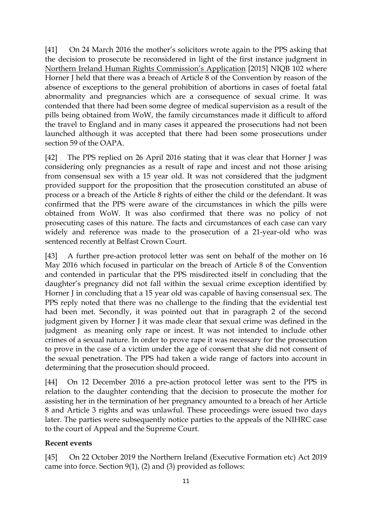[41] On 24 March 2016 the mother's solicitors wrote again to the PPS asking that the decision to prosecute be reconsidered in light of the first instance judgment in Northern Ireland Human Rights Commission's Application [2015] NIQB 102 where Horner J held that there was a breach of Article 8 of the Convention by reason of the absence of exceptions to the general prohibition of abortions in cases of foetal fatal abnormality and pregnancies which are a consequence of sexual crime. It was contended that there had been some degree of medical supervision as a result of the pills being obtained from WoW, the family circumstances made it difficult to afford the travel to England and in many cases it appeared the prosecutions had not been launched although it was accepted that there had been some prosecutions under section 59 of the OAPA.

[42] The PPS replied on 26 April 2016 stating that it was clear that Horner J was considering only pregnancies as a result of rape and incest and not those arising from consensual sex with a 15 year old. It was not considered that the judgment provided support for the proposition that the prosecution constituted an abuse of process or a breach of the Article 8 rights of either the child or the defendant. It was confirmed that the PPS were aware of the circumstances in which the pills were obtained from WoW. It was also confirmed that there was no policy of not prosecuting cases of this nature. The facts and circumstances of each case can vary widely and reference was made to the prosecution of a 21-year-old who was sentenced recently at Belfast Crown Court.

[43] A further pre-action protocol letter was sent on behalf of the mother on 16 May 2016 which focused in particular on the breach of Article 8 of the Convention and contended in particular that the PPS misdirected itself in concluding that the daughter's pregnancy did not fall within the sexual crime exception identified by Horner J in concluding that a 15 year old was capable of having consensual sex. The PPS reply noted that there was no challenge to the finding that the evidential test had been met. Secondly, it was pointed out that in paragraph 2 of the second judgment given by Horner J it was made clear that sexual crime was defined in the judgment as meaning only rape or incest. It was not intended to include other crimes of a sexual nature. In order to prove rape it was necessary for the prosecution to prove in the case of a victim under the age of consent that she did not consent of the sexual penetration. The PPS had taken a wide range of factors into account in determining that the prosecution should proceed.

[44] On 12 December 2016 a pre-action protocol letter was sent to the PPS in relation to the daughter contending that the decision to prosecute the mother for assisting her in the termination of her pregnancy amounted to a breach of her Article 8 and Article 3 rights and was unlawful. These proceedings were issued two days later. The parties were subsequently notice parties to the appeals of the NIHRC case to the court of Appeal and the Supreme Court.

### **Recent events**

[45] On 22 October 2019 the Northern Ireland (Executive Formation etc) Act 2019 came into force. Section 9(1), (2) and (3) provided as follows: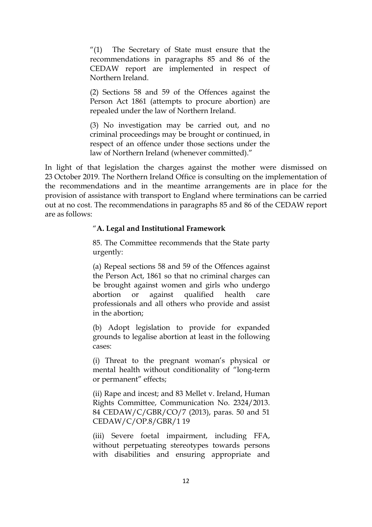"(1) The Secretary of State must ensure that the recommendations in paragraphs 85 and 86 of the CEDAW report are implemented in respect of Northern Ireland.

(2) Sections 58 and 59 of the Offences against the Person Act 1861 (attempts to procure abortion) are repealed under the law of Northern Ireland.

(3) No investigation may be carried out, and no criminal proceedings may be brought or continued, in respect of an offence under those sections under the law of Northern Ireland (whenever committed)."

In light of that legislation the charges against the mother were dismissed on 23 October 2019. The Northern Ireland Office is consulting on the implementation of the recommendations and in the meantime arrangements are in place for the provision of assistance with transport to England where terminations can be carried out at no cost. The recommendations in paragraphs 85 and 86 of the CEDAW report are as follows:

#### "**A. Legal and Institutional Framework**

85. The Committee recommends that the State party urgently:

(a) Repeal sections 58 and 59 of the Offences against the Person Act, 1861 so that no criminal charges can be brought against women and girls who undergo abortion or against qualified health care professionals and all others who provide and assist in the abortion;

(b) Adopt legislation to provide for expanded grounds to legalise abortion at least in the following cases:

(i) Threat to the pregnant woman's physical or mental health without conditionality of "long-term or permanent" effects;

(ii) Rape and incest; and 83 Mellet v. Ireland, Human Rights Committee, Communication No. 2324/2013. 84 CEDAW/C/GBR/CO/7 (2013), paras. 50 and 51 CEDAW/C/OP.8/GBR/1 19

(iii) Severe foetal impairment, including FFA, without perpetuating stereotypes towards persons with disabilities and ensuring appropriate and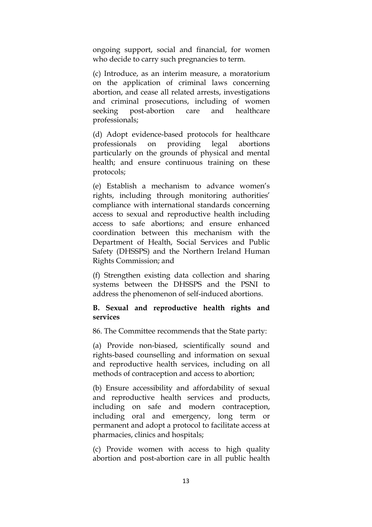ongoing support, social and financial, for women who decide to carry such pregnancies to term.

(c) Introduce, as an interim measure, a moratorium on the application of criminal laws concerning abortion, and cease all related arrests, investigations and criminal prosecutions, including of women seeking post-abortion care and healthcare professionals;

(d) Adopt evidence-based protocols for healthcare professionals on providing legal abortions particularly on the grounds of physical and mental health; and ensure continuous training on these protocols;

(e) Establish a mechanism to advance women's rights, including through monitoring authorities' compliance with international standards concerning access to sexual and reproductive health including access to safe abortions; and ensure enhanced coordination between this mechanism with the Department of Health, Social Services and Public Safety (DHSSPS) and the Northern Ireland Human Rights Commission; and

(f) Strengthen existing data collection and sharing systems between the DHSSPS and the PSNI to address the phenomenon of self-induced abortions.

#### **B. Sexual and reproductive health rights and services**

86. The Committee recommends that the State party:

(a) Provide non-biased, scientifically sound and rights-based counselling and information on sexual and reproductive health services, including on all methods of contraception and access to abortion;

(b) Ensure accessibility and affordability of sexual and reproductive health services and products, including on safe and modern contraception, including oral and emergency, long term or permanent and adopt a protocol to facilitate access at pharmacies, clinics and hospitals;

(c) Provide women with access to high quality abortion and post-abortion care in all public health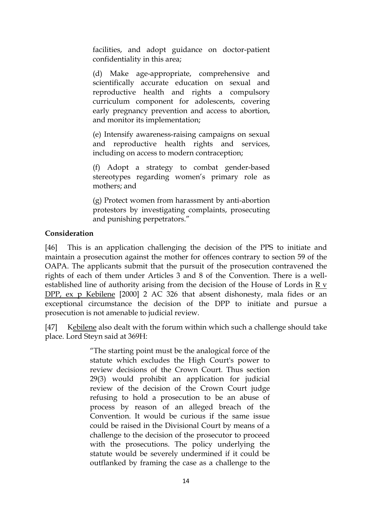facilities, and adopt guidance on doctor-patient confidentiality in this area;

(d) Make age-appropriate, comprehensive and scientifically accurate education on sexual and reproductive health and rights a compulsory curriculum component for adolescents, covering early pregnancy prevention and access to abortion, and monitor its implementation;

(e) Intensify awareness-raising campaigns on sexual and reproductive health rights and services, including on access to modern contraception;

(f) Adopt a strategy to combat gender-based stereotypes regarding women's primary role as mothers; and

(g) Protect women from harassment by anti-abortion protestors by investigating complaints, prosecuting and punishing perpetrators."

### **Consideration**

[46] This is an application challenging the decision of the PPS to initiate and maintain a prosecution against the mother for offences contrary to section 59 of the OAPA. The applicants submit that the pursuit of the prosecution contravened the rights of each of them under Articles 3 and 8 of the Convention. There is a wellestablished line of authority arising from the decision of the House of Lords in R v DPP, ex p Kebilene [2000] 2 AC 326 that absent dishonesty, mala fides or an exceptional circumstance the decision of the DPP to initiate and pursue a prosecution is not amenable to judicial review.

[47] Kebilene also dealt with the forum within which such a challenge should take place. Lord Steyn said at 369H:

> "The starting point must be the analogical force of the statute which excludes the High Court's power to review decisions of the Crown Court. Thus section 29(3) would prohibit an application for judicial review of the decision of the Crown Court judge refusing to hold a prosecution to be an abuse of process by reason of an alleged breach of the Convention. It would be curious if the same issue could be raised in the Divisional Court by means of a challenge to the decision of the prosecutor to proceed with the prosecutions. The policy underlying the statute would be severely undermined if it could be outflanked by framing the case as a challenge to the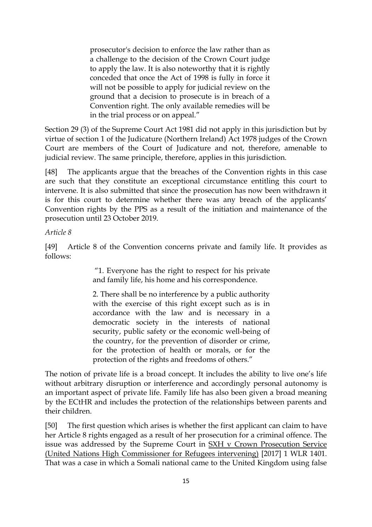prosecutor's decision to enforce the law rather than as a challenge to the decision of the Crown Court judge to apply the law. It is also noteworthy that it is rightly conceded that once the Act of 1998 is fully in force it will not be possible to apply for judicial review on the ground that a decision to prosecute is in breach of a Convention right. The only available remedies will be in the trial process or on appeal."

Section 29 (3) of the Supreme Court Act 1981 did not apply in this jurisdiction but by virtue of section 1 of the Judicature (Northern Ireland) Act 1978 judges of the Crown Court are members of the Court of Judicature and not, therefore, amenable to judicial review. The same principle, therefore, applies in this jurisdiction.

[48] The applicants argue that the breaches of the Convention rights in this case are such that they constitute an exceptional circumstance entitling this court to intervene. It is also submitted that since the prosecution has now been withdrawn it is for this court to determine whether there was any breach of the applicants' Convention rights by the PPS as a result of the initiation and maintenance of the prosecution until 23 October 2019.

#### *Article 8*

[49] Article 8 of the Convention concerns private and family life. It provides as follows:

> "1. Everyone has the right to respect for his private and family life, his home and his correspondence.

> 2. There shall be no interference by a public authority with the exercise of this right except such as is in accordance with the law and is necessary in a democratic society in the interests of national security, public safety or the economic well-being of the country, for the prevention of disorder or crime, for the protection of health or morals, or for the protection of the rights and freedoms of others."

The notion of private life is a broad concept. It includes the ability to live one's life without arbitrary disruption or interference and accordingly personal autonomy is an important aspect of private life. Family life has also been given a broad meaning by the ECtHR and includes the protection of the relationships between parents and their children.

[50] The first question which arises is whether the first applicant can claim to have her Article 8 rights engaged as a result of her prosecution for a criminal offence. The issue was addressed by the Supreme Court in SXH v Crown Prosecution Service (United Nations High Commissioner for Refugees intervening) [2017] 1 WLR 1401. That was a case in which a Somali national came to the United Kingdom using false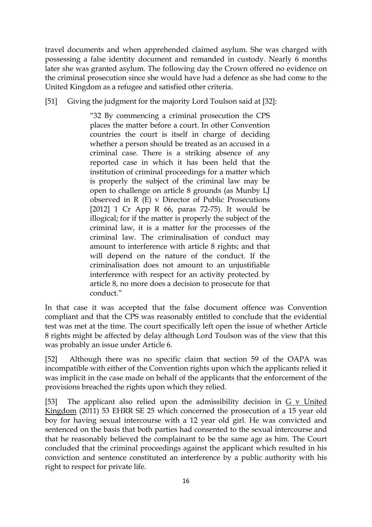travel documents and when apprehended claimed asylum. She was charged with possessing a false identity document and remanded in custody. Nearly 6 months later she was granted asylum. The following day the Crown offered no evidence on the criminal prosecution since she would have had a defence as she had come to the United Kingdom as a refugee and satisfied other criteria.

[51] Giving the judgment for the majority Lord Toulson said at [32]:

"32 By commencing a criminal prosecution the CPS places the matter before a court. In other Convention countries the court is itself in charge of deciding whether a person should be treated as an accused in a criminal case. There is a striking absence of any reported case in which it has been held that the institution of criminal proceedings for a matter which is properly the subject of the criminal law may be open to challenge on article 8 grounds (as Munby LJ observed in R (E) v Director of Public Prosecutions [2012] 1 Cr App R 66, paras 72-75). It would be illogical; for if the matter is properly the subject of the criminal law, it is a matter for the processes of the criminal law. The criminalisation of conduct may amount to interference with article 8 rights; and that will depend on the nature of the conduct. If the criminalisation does not amount to an unjustifiable interference with respect for an activity protected by article 8, no more does a decision to prosecute for that conduct."

In that case it was accepted that the false document offence was Convention compliant and that the CPS was reasonably entitled to conclude that the evidential test was met at the time. The court specifically left open the issue of whether Article 8 rights might be affected by delay although Lord Toulson was of the view that this was probably an issue under Article 6.

[52] Although there was no specific claim that section 59 of the OAPA was incompatible with either of the Convention rights upon which the applicants relied it was implicit in the case made on behalf of the applicants that the enforcement of the provisions breached the rights upon which they relied.

[53] The applicant also relied upon the admissibility decision in G v United Kingdom (2011) 53 EHRR SE 25 which concerned the prosecution of a 15 year old boy for having sexual intercourse with a 12 year old girl. He was convicted and sentenced on the basis that both parties had consented to the sexual intercourse and that he reasonably believed the complainant to be the same age as him. The Court concluded that the criminal proceedings against the applicant which resulted in his conviction and sentence constituted an interference by a public authority with his right to respect for private life.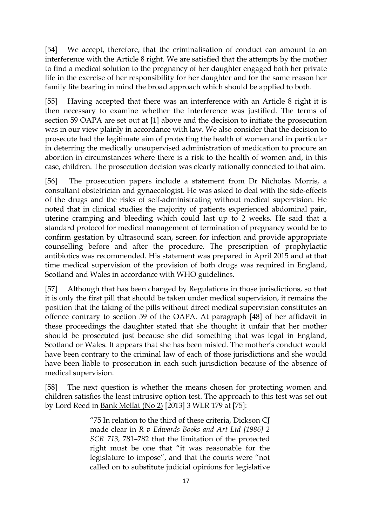[54] We accept, therefore, that the criminalisation of conduct can amount to an interference with the Article 8 right. We are satisfied that the attempts by the mother to find a medical solution to the pregnancy of her daughter engaged both her private life in the exercise of her responsibility for her daughter and for the same reason her family life bearing in mind the broad approach which should be applied to both.

[55] Having accepted that there was an interference with an Article 8 right it is then necessary to examine whether the interference was justified. The terms of section 59 OAPA are set out at [1] above and the decision to initiate the prosecution was in our view plainly in accordance with law. We also consider that the decision to prosecute had the legitimate aim of protecting the health of women and in particular in deterring the medically unsupervised administration of medication to procure an abortion in circumstances where there is a risk to the health of women and, in this case, children. The prosecution decision was clearly rationally connected to that aim.

[56] The prosecution papers include a statement from Dr Nicholas Morris, a consultant obstetrician and gynaecologist. He was asked to deal with the side-effects of the drugs and the risks of self-administrating without medical supervision. He noted that in clinical studies the majority of patients experienced abdominal pain, uterine cramping and bleeding which could last up to 2 weeks. He said that a standard protocol for medical management of termination of pregnancy would be to confirm gestation by ultrasound scan, screen for infection and provide appropriate counselling before and after the procedure. The prescription of prophylactic antibiotics was recommended. His statement was prepared in April 2015 and at that time medical supervision of the provision of both drugs was required in England, Scotland and Wales in accordance with WHO guidelines.

[57] Although that has been changed by Regulations in those jurisdictions, so that it is only the first pill that should be taken under medical supervision, it remains the position that the taking of the pills without direct medical supervision constitutes an offence contrary to section 59 of the OAPA. At paragraph [48] of her affidavit in these proceedings the daughter stated that she thought it unfair that her mother should be prosecuted just because she did something that was legal in England, Scotland or Wales. It appears that she has been misled. The mother's conduct would have been contrary to the criminal law of each of those jurisdictions and she would have been liable to prosecution in each such jurisdiction because of the absence of medical supervision.

[58] The next question is whether the means chosen for protecting women and children satisfies the least intrusive option test. The approach to this test was set out by Lord Reed in Bank Mellat (No 2) [2013] 3 WLR 179 at [75]:

> "75 In relation to the third of these criteria, Dickson CJ made clear in *R v Edwards Books and Art Ltd [1986] 2 SCR 713,* 781–782 that the limitation of the protected right must be one that "it was reasonable for the legislature to impose", and that the courts were "not called on to substitute judicial opinions for legislative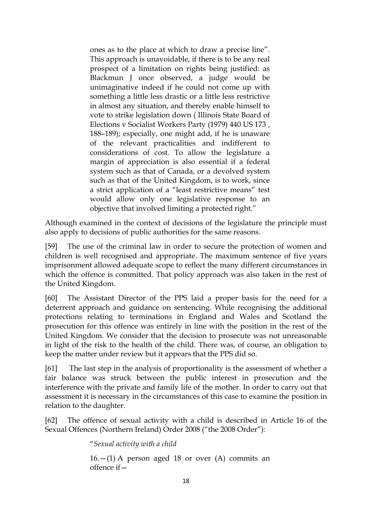ones as to the place at which to draw a precise line". This approach is unavoidable, if there is to be any real prospect of a limitation on rights being justified: as Blackmun J once observed, a judge would be unimaginative indeed if he could not come up with something a little less drastic or a little less restrictive in almost any situation, and thereby enable himself to vote to strike legislation down ( Illinois State Board of Elections v Socialist Workers Party (1979) 440 US 173 , 188–189); especially, one might add, if he is unaware of the relevant practicalities and indifferent to considerations of cost. To allow the legislature a margin of appreciation is also essential if a federal system such as that of Canada, or a devolved system such as that of the United Kingdom, is to work, since a strict application of a "least restrictive means" test would allow only one legislative response to an objective that involved limiting a protected right."

Although examined in the context of decisions of the legislature the principle must also apply to decisions of public authorities for the same reasons.

[59] The use of the criminal law in order to secure the protection of women and children is well recognised and appropriate. The maximum sentence of five years imprisonment allowed adequate scope to reflect the many different circumstances in which the offence is committed. That policy approach was also taken in the rest of the United Kingdom.

[60] The Assistant Director of the PPS laid a proper basis for the need for a deterrent approach and guidance on sentencing. While recognising the additional protections relating to terminations in England and Wales and Scotland the prosecution for this offence was entirely in line with the position in the rest of the United Kingdom. We consider that the decision to prosecute was not unreasonable in light of the risk to the health of the child. There was, of course, an obligation to keep the matter under review but it appears that the PPS did so.

[61] The last step in the analysis of proportionality is the assessment of whether a fair balance was struck between the public interest in prosecution and the interference with the private and family life of the mother. In order to carry out that assessment it is necessary in the circumstances of this case to examine the position in relation to the daughter.

[62] The offence of sexual activity with a child is described in Article 16 of the Sexual Offences (Northern Ireland) Order 2008 ("the 2008 Order"):

"*Sexual activity with a child* 

 $16.$  -(1) A person aged 18 or over (A) commits an offence if—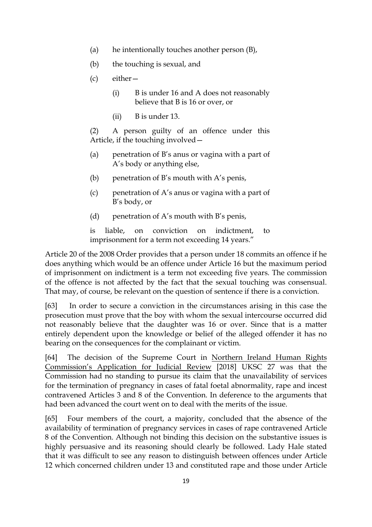- (a) he intentionally touches another person (B),
- (b) the touching is sexual, and
- (c) either—
	- (i) B is under 16 and A does not reasonably believe that B is 16 or over, or
	- (ii) B is under 13.

(2) A person guilty of an offence under this Article, if the touching involved—

- (a) penetration of B's anus or vagina with a part of A's body or anything else,
- (b) penetration of B's mouth with A's penis,
- (c) penetration of A's anus or vagina with a part of B's body, or
- (d) penetration of A's mouth with B's penis,

is liable, on conviction on indictment, to imprisonment for a term not exceeding 14 years."

Article 20 of the 2008 Order provides that a person under 18 commits an offence if he does anything which would be an offence under Article 16 but the maximum period of imprisonment on indictment is a term not exceeding five years. The commission of the offence is not affected by the fact that the sexual touching was consensual. That may, of course, be relevant on the question of sentence if there is a conviction.

[63] In order to secure a conviction in the circumstances arising in this case the prosecution must prove that the boy with whom the sexual intercourse occurred did not reasonably believe that the daughter was 16 or over. Since that is a matter entirely dependent upon the knowledge or belief of the alleged offender it has no bearing on the consequences for the complainant or victim.

[64] The decision of the Supreme Court in Northern Ireland Human Rights Commission's Application for Judicial Review [2018] UKSC 27 was that the Commission had no standing to pursue its claim that the unavailability of services for the termination of pregnancy in cases of fatal foetal abnormality, rape and incest contravened Articles 3 and 8 of the Convention. In deference to the arguments that had been advanced the court went on to deal with the merits of the issue.

[65] Four members of the court, a majority, concluded that the absence of the availability of termination of pregnancy services in cases of rape contravened Article 8 of the Convention. Although not binding this decision on the substantive issues is highly persuasive and its reasoning should clearly be followed. Lady Hale stated that it was difficult to see any reason to distinguish between offences under Article 12 which concerned children under 13 and constituted rape and those under Article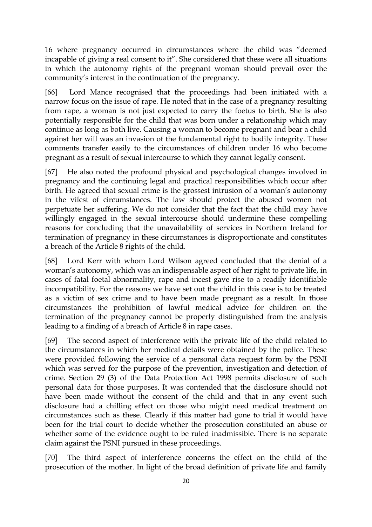16 where pregnancy occurred in circumstances where the child was "deemed incapable of giving a real consent to it". She considered that these were all situations in which the autonomy rights of the pregnant woman should prevail over the community's interest in the continuation of the pregnancy.

[66] Lord Mance recognised that the proceedings had been initiated with a narrow focus on the issue of rape. He noted that in the case of a pregnancy resulting from rape, a woman is not just expected to carry the foetus to birth. She is also potentially responsible for the child that was born under a relationship which may continue as long as both live. Causing a woman to become pregnant and bear a child against her will was an invasion of the fundamental right to bodily integrity. These comments transfer easily to the circumstances of children under 16 who become pregnant as a result of sexual intercourse to which they cannot legally consent.

[67] He also noted the profound physical and psychological changes involved in pregnancy and the continuing legal and practical responsibilities which occur after birth. He agreed that sexual crime is the grossest intrusion of a woman's autonomy in the vilest of circumstances. The law should protect the abused women not perpetuate her suffering. We do not consider that the fact that the child may have willingly engaged in the sexual intercourse should undermine these compelling reasons for concluding that the unavailability of services in Northern Ireland for termination of pregnancy in these circumstances is disproportionate and constitutes a breach of the Article 8 rights of the child.

[68] Lord Kerr with whom Lord Wilson agreed concluded that the denial of a woman's autonomy, which was an indispensable aspect of her right to private life, in cases of fatal foetal abnormality, rape and incest gave rise to a readily identifiable incompatibility. For the reasons we have set out the child in this case is to be treated as a victim of sex crime and to have been made pregnant as a result. In those circumstances the prohibition of lawful medical advice for children on the termination of the pregnancy cannot be properly distinguished from the analysis leading to a finding of a breach of Article 8 in rape cases.

[69] The second aspect of interference with the private life of the child related to the circumstances in which her medical details were obtained by the police. These were provided following the service of a personal data request form by the PSNI which was served for the purpose of the prevention, investigation and detection of crime. Section 29 (3) of the Data Protection Act 1998 permits disclosure of such personal data for those purposes. It was contended that the disclosure should not have been made without the consent of the child and that in any event such disclosure had a chilling effect on those who might need medical treatment on circumstances such as these. Clearly if this matter had gone to trial it would have been for the trial court to decide whether the prosecution constituted an abuse or whether some of the evidence ought to be ruled inadmissible. There is no separate claim against the PSNI pursued in these proceedings.

[70] The third aspect of interference concerns the effect on the child of the prosecution of the mother. In light of the broad definition of private life and family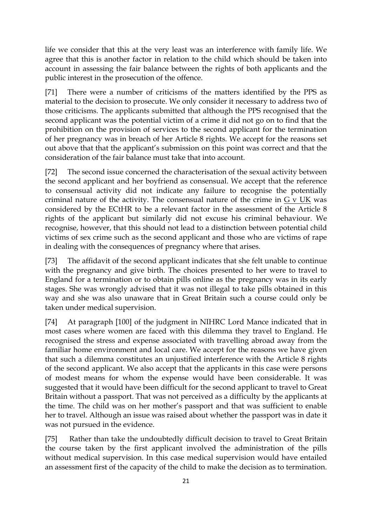life we consider that this at the very least was an interference with family life. We agree that this is another factor in relation to the child which should be taken into account in assessing the fair balance between the rights of both applicants and the public interest in the prosecution of the offence.

[71] There were a number of criticisms of the matters identified by the PPS as material to the decision to prosecute. We only consider it necessary to address two of those criticisms. The applicants submitted that although the PPS recognised that the second applicant was the potential victim of a crime it did not go on to find that the prohibition on the provision of services to the second applicant for the termination of her pregnancy was in breach of her Article 8 rights. We accept for the reasons set out above that that the applicant's submission on this point was correct and that the consideration of the fair balance must take that into account.

[72] The second issue concerned the characterisation of the sexual activity between the second applicant and her boyfriend as consensual. We accept that the reference to consensual activity did not indicate any failure to recognise the potentially criminal nature of the activity. The consensual nature of the crime in  $G$  v UK was considered by the ECtHR to be a relevant factor in the assessment of the Article 8 rights of the applicant but similarly did not excuse his criminal behaviour. We recognise, however, that this should not lead to a distinction between potential child victims of sex crime such as the second applicant and those who are victims of rape in dealing with the consequences of pregnancy where that arises.

[73] The affidavit of the second applicant indicates that she felt unable to continue with the pregnancy and give birth. The choices presented to her were to travel to England for a termination or to obtain pills online as the pregnancy was in its early stages. She was wrongly advised that it was not illegal to take pills obtained in this way and she was also unaware that in Great Britain such a course could only be taken under medical supervision.

[74] At paragraph [100] of the judgment in NIHRC Lord Mance indicated that in most cases where women are faced with this dilemma they travel to England. He recognised the stress and expense associated with travelling abroad away from the familiar home environment and local care. We accept for the reasons we have given that such a dilemma constitutes an unjustified interference with the Article 8 rights of the second applicant. We also accept that the applicants in this case were persons of modest means for whom the expense would have been considerable. It was suggested that it would have been difficult for the second applicant to travel to Great Britain without a passport. That was not perceived as a difficulty by the applicants at the time. The child was on her mother's passport and that was sufficient to enable her to travel. Although an issue was raised about whether the passport was in date it was not pursued in the evidence.

[75] Rather than take the undoubtedly difficult decision to travel to Great Britain the course taken by the first applicant involved the administration of the pills without medical supervision. In this case medical supervision would have entailed an assessment first of the capacity of the child to make the decision as to termination.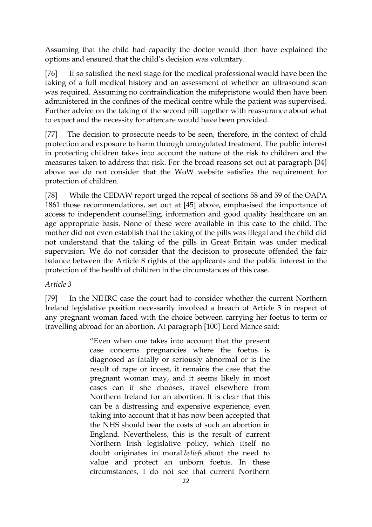Assuming that the child had capacity the doctor would then have explained the options and ensured that the child's decision was voluntary.

[76] If so satisfied the next stage for the medical professional would have been the taking of a full medical history and an assessment of whether an ultrasound scan was required. Assuming no contraindication the mifepristone would then have been administered in the confines of the medical centre while the patient was supervised. Further advice on the taking of the second pill together with reassurance about what to expect and the necessity for aftercare would have been provided.

[77] The decision to prosecute needs to be seen, therefore, in the context of child protection and exposure to harm through unregulated treatment. The public interest in protecting children takes into account the nature of the risk to children and the measures taken to address that risk. For the broad reasons set out at paragraph [34] above we do not consider that the WoW website satisfies the requirement for protection of children.

[78] While the CEDAW report urged the repeal of sections 58 and 59 of the OAPA 1861 those recommendations, set out at [45] above, emphasised the importance of access to independent counselling, information and good quality healthcare on an age appropriate basis. None of these were available in this case to the child. The mother did not even establish that the taking of the pills was illegal and the child did not understand that the taking of the pills in Great Britain was under medical supervision. We do not consider that the decision to prosecute offended the fair balance between the Article 8 rights of the applicants and the public interest in the protection of the health of children in the circumstances of this case.

## *Article 3*

[79] In the NIHRC case the court had to consider whether the current Northern Ireland legislative position necessarily involved a breach of Article 3 in respect of any pregnant woman faced with the choice between carrying her foetus to term or travelling abroad for an abortion. At paragraph [100] Lord Mance said:

> "Even when one takes into account that the present case concerns pregnancies where the foetus is diagnosed as fatally or seriously abnormal or is the result of rape or incest, it remains the case that the pregnant woman may, and it seems likely in most cases can if she chooses, travel elsewhere from Northern Ireland for an abortion. It is clear that this can be a distressing and expensive experience, even taking into account that it has now been accepted that the NHS should bear the costs of such an abortion in England. Nevertheless, this is the result of current Northern Irish legislative policy, which itself no doubt originates in moral *beliefs* about the need to value and protect an unborn foetus. In these circumstances, I do not see that current Northern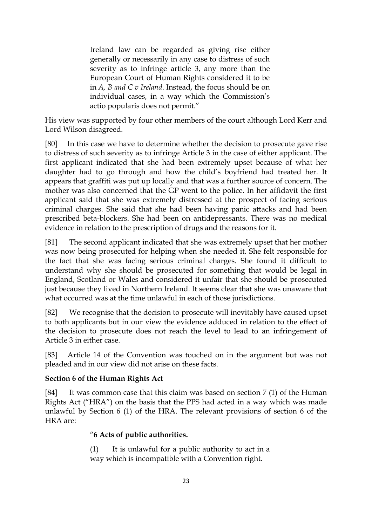Ireland law can be regarded as giving rise either generally or necessarily in any case to distress of such severity as to infringe article 3, any more than the European Court of Human Rights considered it to be in *A, B and C v Ireland*. Instead, the focus should be on individual cases, in a way which the Commission's actio popularis does not permit."

His view was supported by four other members of the court although Lord Kerr and Lord Wilson disagreed.

[80] In this case we have to determine whether the decision to prosecute gave rise to distress of such severity as to infringe Article 3 in the case of either applicant. The first applicant indicated that she had been extremely upset because of what her daughter had to go through and how the child's boyfriend had treated her. It appears that graffiti was put up locally and that was a further source of concern. The mother was also concerned that the GP went to the police. In her affidavit the first applicant said that she was extremely distressed at the prospect of facing serious criminal charges. She said that she had been having panic attacks and had been prescribed beta-blockers. She had been on antidepressants. There was no medical evidence in relation to the prescription of drugs and the reasons for it.

[81] The second applicant indicated that she was extremely upset that her mother was now being prosecuted for helping when she needed it. She felt responsible for the fact that she was facing serious criminal charges. She found it difficult to understand why she should be prosecuted for something that would be legal in England, Scotland or Wales and considered it unfair that she should be prosecuted just because they lived in Northern Ireland. It seems clear that she was unaware that what occurred was at the time unlawful in each of those jurisdictions.

[82] We recognise that the decision to prosecute will inevitably have caused upset to both applicants but in our view the evidence adduced in relation to the effect of the decision to prosecute does not reach the level to lead to an infringement of Article 3 in either case.

[83] Article 14 of the Convention was touched on in the argument but was not pleaded and in our view did not arise on these facts.

## **Section 6 of the Human Rights Act**

[84] It was common case that this claim was based on section 7 (1) of the Human Rights Act ("HRA") on the basis that the PPS had acted in a way which was made unlawful by Section 6 (1) of the HRA. The relevant provisions of section 6 of the HRA are:

## "**6 Acts of public authorities.**

(1) It is unlawful for a public authority to act in a way which is incompatible with a Convention right.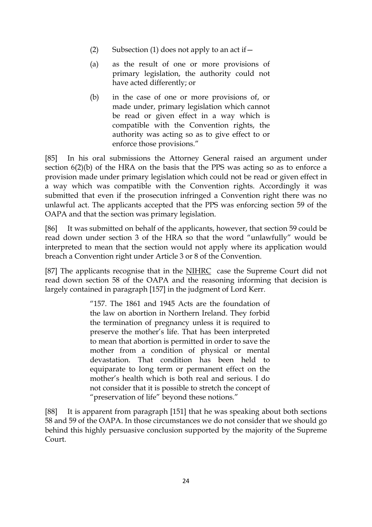- (2) Subsection (1) does not apply to an act if  $-$
- (a) as the result of one or more provisions of primary legislation, the authority could not have acted differently; or
- (b) in the case of one or more provisions of, or made under, primary legislation which cannot be read or given effect in a way which is compatible with the Convention rights, the authority was acting so as to give effect to or enforce those provisions."

[85] In his oral submissions the Attorney General raised an argument under section 6(2)(b) of the HRA on the basis that the PPS was acting so as to enforce a provision made under primary legislation which could not be read or given effect in a way which was compatible with the Convention rights. Accordingly it was submitted that even if the prosecution infringed a Convention right there was no unlawful act. The applicants accepted that the PPS was enforcing section 59 of the OAPA and that the section was primary legislation.

[86] It was submitted on behalf of the applicants, however, that section 59 could be read down under section 3 of the HRA so that the word "unlawfully" would be interpreted to mean that the section would not apply where its application would breach a Convention right under Article 3 or 8 of the Convention.

[87] The applicants recognise that in the NIHRC case the Supreme Court did not read down section 58 of the OAPA and the reasoning informing that decision is largely contained in paragraph [157] in the judgment of Lord Kerr.

> "157. The 1861 and 1945 Acts are the foundation of the law on abortion in Northern Ireland. They forbid the termination of pregnancy unless it is required to preserve the mother's life. That has been interpreted to mean that abortion is permitted in order to save the mother from a condition of physical or mental devastation. That condition has been held to equiparate to long term or permanent effect on the mother's health which is both real and serious. I do not consider that it is possible to stretch the concept of "preservation of life" beyond these notions."

[88] It is apparent from paragraph [151] that he was speaking about both sections 58 and 59 of the OAPA. In those circumstances we do not consider that we should go behind this highly persuasive conclusion supported by the majority of the Supreme Court.